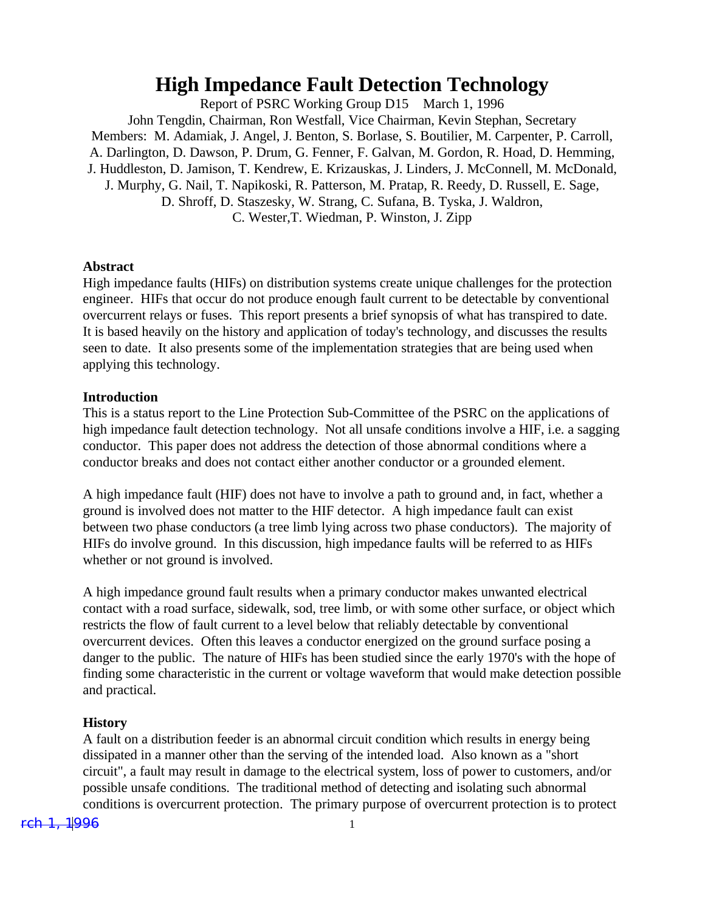# **High Impedance Fault Detection Technology**

Report of PSRC Working Group D15 March 1, 1996 John Tengdin, Chairman, Ron Westfall, Vice Chairman, Kevin Stephan, Secretary Members: M. Adamiak, J. Angel, J. Benton, S. Borlase, S. Boutilier, M. Carpenter, P. Carroll, A. Darlington, D. Dawson, P. Drum, G. Fenner, F. Galvan, M. Gordon, R. Hoad, D. Hemming, J. Huddleston, D. Jamison, T. Kendrew, E. Krizauskas, J. Linders, J. McConnell, M. McDonald, J. Murphy, G. Nail, T. Napikoski, R. Patterson, M. Pratap, R. Reedy, D. Russell, E. Sage, D. Shroff, D. Staszesky, W. Strang, C. Sufana, B. Tyska, J. Waldron, C. Wester,T. Wiedman, P. Winston, J. Zipp

#### **Abstract**

High impedance faults (HIFs) on distribution systems create unique challenges for the protection engineer. HIFs that occur do not produce enough fault current to be detectable by conventional overcurrent relays or fuses. This report presents a brief synopsis of what has transpired to date. It is based heavily on the history and application of today's technology, and discusses the results seen to date. It also presents some of the implementation strategies that are being used when applying this technology.

#### **Introduction**

This is a status report to the Line Protection Sub-Committee of the PSRC on the applications of high impedance fault detection technology. Not all unsafe conditions involve a HIF, i.e. a sagging conductor. This paper does not address the detection of those abnormal conditions where a conductor breaks and does not contact either another conductor or a grounded element.

A high impedance fault (HIF) does not have to involve a path to ground and, in fact, whether a ground is involved does not matter to the HIF detector. A high impedance fault can exist between two phase conductors (a tree limb lying across two phase conductors). The majority of HIFs do involve ground. In this discussion, high impedance faults will be referred to as HIFs whether or not ground is involved.

A high impedance ground fault results when a primary conductor makes unwanted electrical contact with a road surface, sidewalk, sod, tree limb, or with some other surface, or object which restricts the flow of fault current to a level below that reliably detectable by conventional overcurrent devices. Often this leaves a conductor energized on the ground surface posing a danger to the public. The nature of HIFs has been studied since the early 1970's with the hope of finding some characteristic in the current or voltage waveform that would make detection possible and practical.

#### **History**

A fault on a distribution feeder is an abnormal circuit condition which results in energy being dissipated in a manner other than the serving of the intended load. Also known as a "short circuit", a fault may result in damage to the electrical system, loss of power to customers, and/or possible unsafe conditions. The traditional method of detecting and isolating such abnormal conditions is overcurrent protection. The primary purpose of overcurrent protection is to protect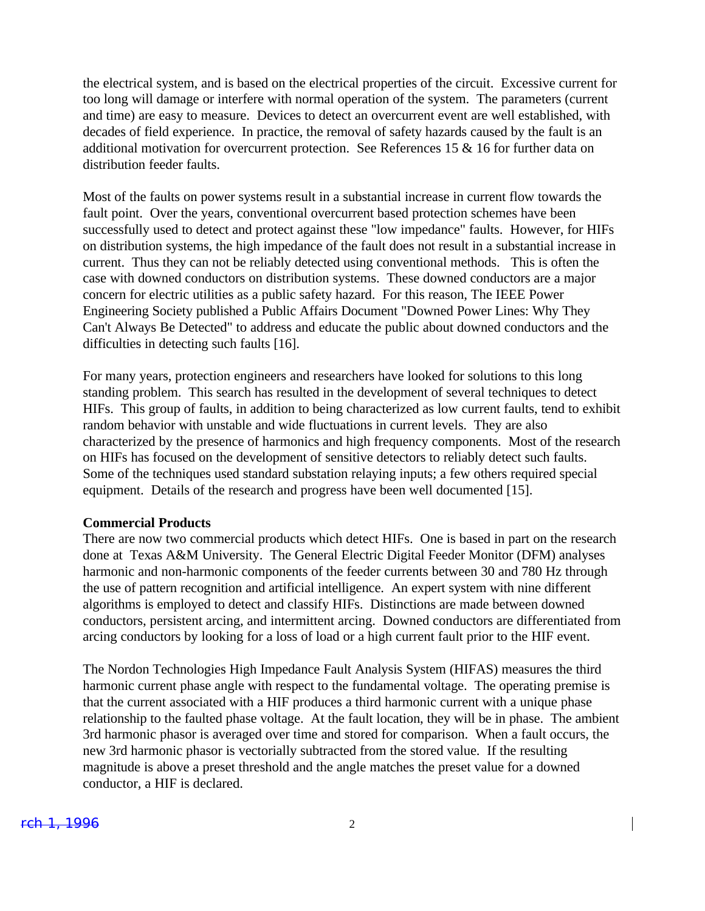the electrical system, and is based on the electrical properties of the circuit. Excessive current for too long will damage or interfere with normal operation of the system. The parameters (current and time) are easy to measure. Devices to detect an overcurrent event are well established, with decades of field experience. In practice, the removal of safety hazards caused by the fault is an additional motivation for overcurrent protection. See References 15 & 16 for further data on distribution feeder faults.

Most of the faults on power systems result in a substantial increase in current flow towards the fault point. Over the years, conventional overcurrent based protection schemes have been successfully used to detect and protect against these "low impedance" faults. However, for HIFs on distribution systems, the high impedance of the fault does not result in a substantial increase in current. Thus they can not be reliably detected using conventional methods. This is often the case with downed conductors on distribution systems. These downed conductors are a major concern for electric utilities as a public safety hazard. For this reason, The IEEE Power Engineering Society published a Public Affairs Document "Downed Power Lines: Why They Can't Always Be Detected" to address and educate the public about downed conductors and the difficulties in detecting such faults [16].

For many years, protection engineers and researchers have looked for solutions to this long standing problem. This search has resulted in the development of several techniques to detect HIFs. This group of faults, in addition to being characterized as low current faults, tend to exhibit random behavior with unstable and wide fluctuations in current levels. They are also characterized by the presence of harmonics and high frequency components. Most of the research on HIFs has focused on the development of sensitive detectors to reliably detect such faults. Some of the techniques used standard substation relaying inputs; a few others required special equipment. Details of the research and progress have been well documented [15].

#### **Commercial Products**

There are now two commercial products which detect HIFs. One is based in part on the research done at Texas A&M University. The General Electric Digital Feeder Monitor (DFM) analyses harmonic and non-harmonic components of the feeder currents between 30 and 780 Hz through the use of pattern recognition and artificial intelligence. An expert system with nine different algorithms is employed to detect and classify HIFs. Distinctions are made between downed conductors, persistent arcing, and intermittent arcing. Downed conductors are differentiated from arcing conductors by looking for a loss of load or a high current fault prior to the HIF event.

The Nordon Technologies High Impedance Fault Analysis System (HIFAS) measures the third harmonic current phase angle with respect to the fundamental voltage. The operating premise is that the current associated with a HIF produces a third harmonic current with a unique phase relationship to the faulted phase voltage. At the fault location, they will be in phase. The ambient 3rd harmonic phasor is averaged over time and stored for comparison. When a fault occurs, the new 3rd harmonic phasor is vectorially subtracted from the stored value. If the resulting magnitude is above a preset threshold and the angle matches the preset value for a downed conductor, a HIF is declared.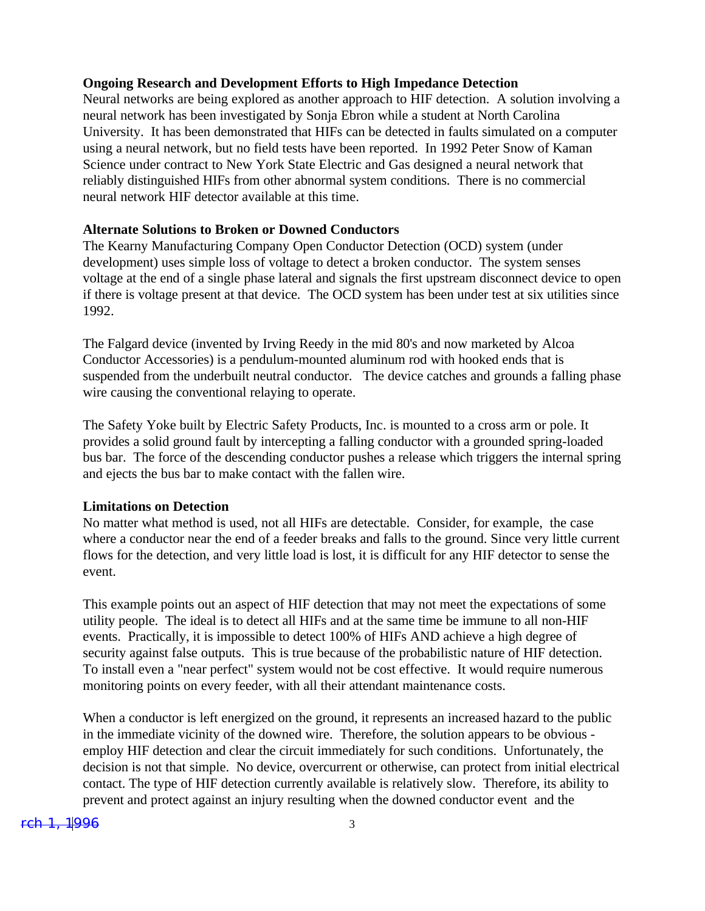### **Ongoing Research and Development Efforts to High Impedance Detection**

Neural networks are being explored as another approach to HIF detection. A solution involving a neural network has been investigated by Sonja Ebron while a student at North Carolina University. It has been demonstrated that HIFs can be detected in faults simulated on a computer using a neural network, but no field tests have been reported. In 1992 Peter Snow of Kaman Science under contract to New York State Electric and Gas designed a neural network that reliably distinguished HIFs from other abnormal system conditions. There is no commercial neural network HIF detector available at this time.

# **Alternate Solutions to Broken or Downed Conductors**

The Kearny Manufacturing Company Open Conductor Detection (OCD) system (under development) uses simple loss of voltage to detect a broken conductor. The system senses voltage at the end of a single phase lateral and signals the first upstream disconnect device to open if there is voltage present at that device. The OCD system has been under test at six utilities since 1992.

The Falgard device (invented by Irving Reedy in the mid 80's and now marketed by Alcoa Conductor Accessories) is a pendulum-mounted aluminum rod with hooked ends that is suspended from the underbuilt neutral conductor. The device catches and grounds a falling phase wire causing the conventional relaying to operate.

The Safety Yoke built by Electric Safety Products, Inc. is mounted to a cross arm or pole. It provides a solid ground fault by intercepting a falling conductor with a grounded spring-loaded bus bar. The force of the descending conductor pushes a release which triggers the internal spring and ejects the bus bar to make contact with the fallen wire.

#### **Limitations on Detection**

No matter what method is used, not all HIFs are detectable. Consider, for example, the case where a conductor near the end of a feeder breaks and falls to the ground. Since very little current flows for the detection, and very little load is lost, it is difficult for any HIF detector to sense the event.

This example points out an aspect of HIF detection that may not meet the expectations of some utility people. The ideal is to detect all HIFs and at the same time be immune to all non-HIF events. Practically, it is impossible to detect 100% of HIFs AND achieve a high degree of security against false outputs. This is true because of the probabilistic nature of HIF detection. To install even a "near perfect" system would not be cost effective. It would require numerous monitoring points on every feeder, with all their attendant maintenance costs.

When a conductor is left energized on the ground, it represents an increased hazard to the public in the immediate vicinity of the downed wire. Therefore, the solution appears to be obvious employ HIF detection and clear the circuit immediately for such conditions. Unfortunately, the decision is not that simple. No device, overcurrent or otherwise, can protect from initial electrical contact. The type of HIF detection currently available is relatively slow. Therefore, its ability to prevent and protect against an injury resulting when the downed conductor event and the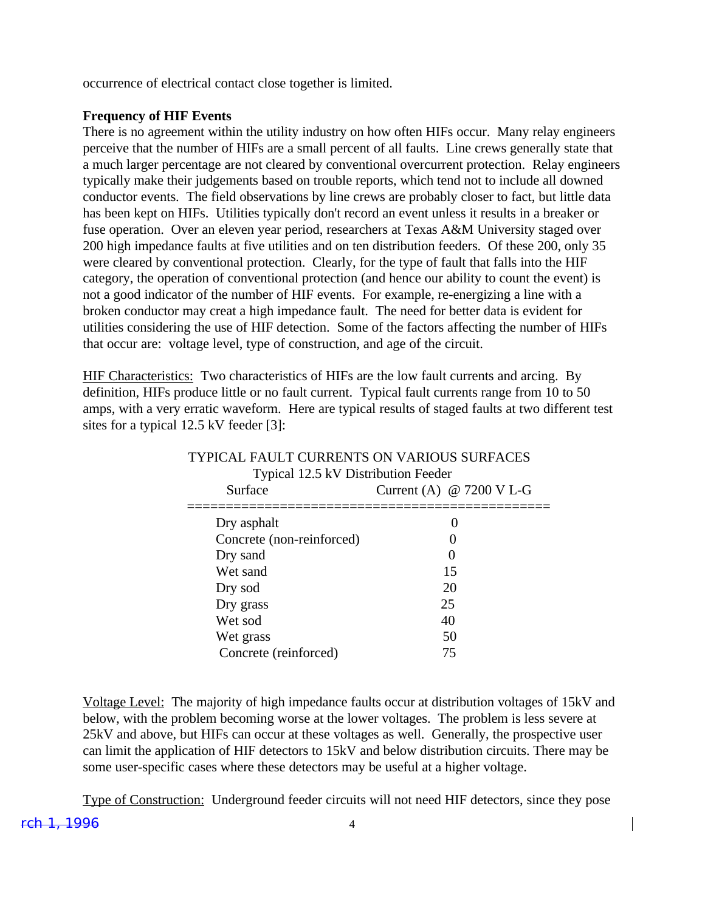occurrence of electrical contact close together is limited.

#### **Frequency of HIF Events**

There is no agreement within the utility industry on how often HIFs occur. Many relay engineers perceive that the number of HIFs are a small percent of all faults. Line crews generally state that a much larger percentage are not cleared by conventional overcurrent protection. Relay engineers typically make their judgements based on trouble reports, which tend not to include all downed conductor events. The field observations by line crews are probably closer to fact, but little data has been kept on HIFs. Utilities typically don't record an event unless it results in a breaker or fuse operation. Over an eleven year period, researchers at Texas A&M University staged over 200 high impedance faults at five utilities and on ten distribution feeders. Of these 200, only 35 were cleared by conventional protection. Clearly, for the type of fault that falls into the HIF category, the operation of conventional protection (and hence our ability to count the event) is not a good indicator of the number of HIF events. For example, re-energizing a line with a broken conductor may creat a high impedance fault. The need for better data is evident for utilities considering the use of HIF detection. Some of the factors affecting the number of HIFs that occur are: voltage level, type of construction, and age of the circuit.

HIF Characteristics: Two characteristics of HIFs are the low fault currents and arcing. By definition, HIFs produce little or no fault current. Typical fault currents range from 10 to 50 amps, with a very erratic waveform. Here are typical results of staged faults at two different test sites for a typical 12.5 kV feeder [3]:

| I PPICAL FAULT CURRENTS ON VARIOUS SURFACES<br>Typical 12.5 kV Distribution Feeder |                                    |
|------------------------------------------------------------------------------------|------------------------------------|
| Surface                                                                            | Current (A) $@ 7200 \text{ V L-G}$ |
| Dry asphalt                                                                        |                                    |
| Concrete (non-reinforced)                                                          |                                    |
| Dry sand                                                                           | 0                                  |
| Wet sand                                                                           | 15                                 |
| Dry sod                                                                            | 20                                 |
| Dry grass                                                                          | 25                                 |
| Wet sod                                                                            | 40                                 |
| Wet grass                                                                          | 50                                 |
| Concrete (reinforced)                                                              | 75                                 |

# TYPICAL FAULT CURRENTS ON VARIOUS SURFACES

Voltage Level: The majority of high impedance faults occur at distribution voltages of 15kV and below, with the problem becoming worse at the lower voltages. The problem is less severe at 25kV and above, but HIFs can occur at these voltages as well. Generally, the prospective user can limit the application of HIF detectors to 15kV and below distribution circuits. There may be some user-specific cases where these detectors may be useful at a higher voltage.

rch 1, 1996 4 Type of Construction: Underground feeder circuits will not need HIF detectors, since they pose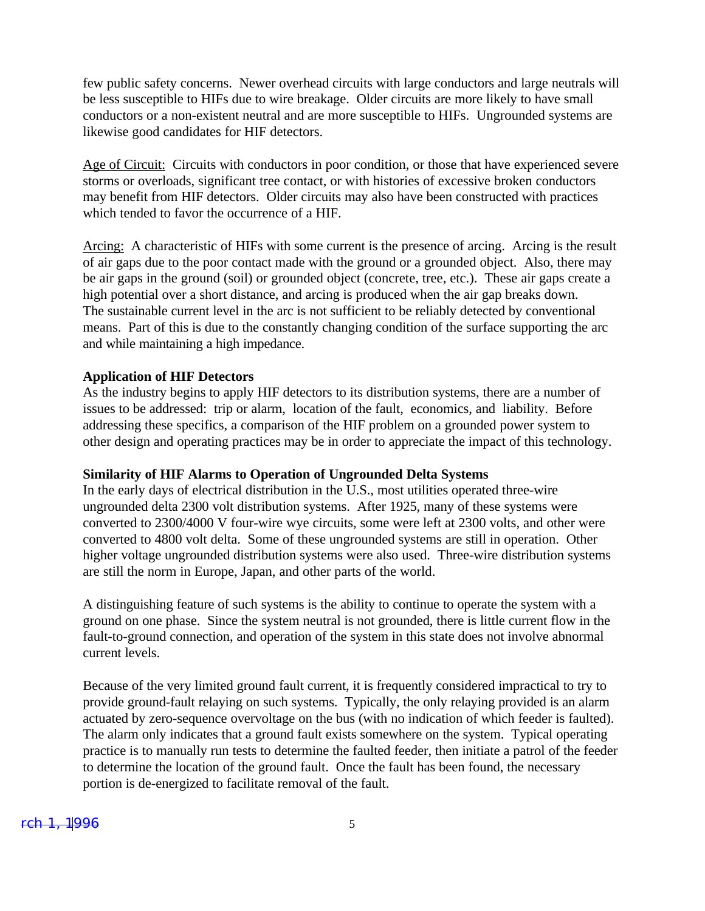few public safety concerns. Newer overhead circuits with large conductors and large neutrals will be less susceptible to HIFs due to wire breakage. Older circuits are more likely to have small conductors or a non-existent neutral and are more susceptible to HIFs. Ungrounded systems are likewise good candidates for HIF detectors.

Age of Circuit: Circuits with conductors in poor condition, or those that have experienced severe storms or overloads, significant tree contact, or with histories of excessive broken conductors may benefit from HIF detectors. Older circuits may also have been constructed with practices which tended to favor the occurrence of a HIF.

Arcing: A characteristic of HIFs with some current is the presence of arcing. Arcing is the result of air gaps due to the poor contact made with the ground or a grounded object. Also, there may be air gaps in the ground (soil) or grounded object (concrete, tree, etc.). These air gaps create a high potential over a short distance, and arcing is produced when the air gap breaks down. The sustainable current level in the arc is not sufficient to be reliably detected by conventional means. Part of this is due to the constantly changing condition of the surface supporting the arc and while maintaining a high impedance.

#### **Application of HIF Detectors**

As the industry begins to apply HIF detectors to its distribution systems, there are a number of issues to be addressed: trip or alarm, location of the fault, economics, and liability. Before addressing these specifics, a comparison of the HIF problem on a grounded power system to other design and operating practices may be in order to appreciate the impact of this technology.

#### **Similarity of HIF Alarms to Operation of Ungrounded Delta Systems**

In the early days of electrical distribution in the U.S., most utilities operated three-wire ungrounded delta 2300 volt distribution systems. After 1925, many of these systems were converted to 2300/4000 V four-wire wye circuits, some were left at 2300 volts, and other were converted to 4800 volt delta. Some of these ungrounded systems are still in operation. Other higher voltage ungrounded distribution systems were also used. Three-wire distribution systems are still the norm in Europe, Japan, and other parts of the world.

A distinguishing feature of such systems is the ability to continue to operate the system with a ground on one phase. Since the system neutral is not grounded, there is little current flow in the fault-to-ground connection, and operation of the system in this state does not involve abnormal current levels.

Because of the very limited ground fault current, it is frequently considered impractical to try to provide ground-fault relaying on such systems. Typically, the only relaying provided is an alarm actuated by zero-sequence overvoltage on the bus (with no indication of which feeder is faulted). The alarm only indicates that a ground fault exists somewhere on the system. Typical operating practice is to manually run tests to determine the faulted feeder, then initiate a patrol of the feeder to determine the location of the ground fault. Once the fault has been found, the necessary portion is de-energized to facilitate removal of the fault.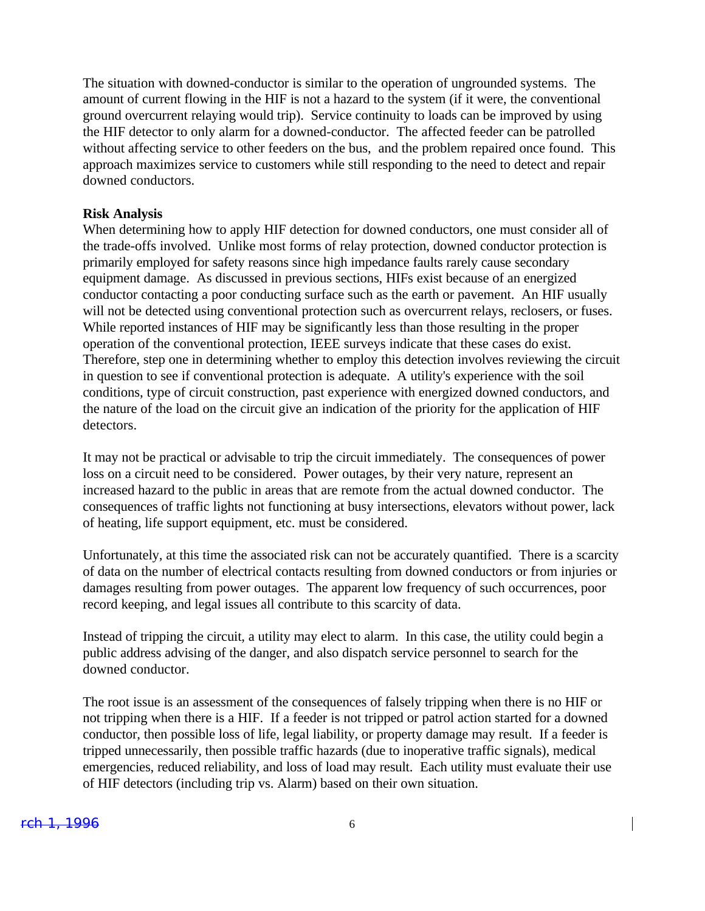The situation with downed-conductor is similar to the operation of ungrounded systems. The amount of current flowing in the HIF is not a hazard to the system (if it were, the conventional ground overcurrent relaying would trip). Service continuity to loads can be improved by using the HIF detector to only alarm for a downed-conductor. The affected feeder can be patrolled without affecting service to other feeders on the bus, and the problem repaired once found. This approach maximizes service to customers while still responding to the need to detect and repair downed conductors.

#### **Risk Analysis**

When determining how to apply HIF detection for downed conductors, one must consider all of the trade-offs involved. Unlike most forms of relay protection, downed conductor protection is primarily employed for safety reasons since high impedance faults rarely cause secondary equipment damage. As discussed in previous sections, HIFs exist because of an energized conductor contacting a poor conducting surface such as the earth or pavement. An HIF usually will not be detected using conventional protection such as overcurrent relays, reclosers, or fuses. While reported instances of HIF may be significantly less than those resulting in the proper operation of the conventional protection, IEEE surveys indicate that these cases do exist. Therefore, step one in determining whether to employ this detection involves reviewing the circuit in question to see if conventional protection is adequate. A utility's experience with the soil conditions, type of circuit construction, past experience with energized downed conductors, and the nature of the load on the circuit give an indication of the priority for the application of HIF detectors.

It may not be practical or advisable to trip the circuit immediately. The consequences of power loss on a circuit need to be considered. Power outages, by their very nature, represent an increased hazard to the public in areas that are remote from the actual downed conductor. The consequences of traffic lights not functioning at busy intersections, elevators without power, lack of heating, life support equipment, etc. must be considered.

Unfortunately, at this time the associated risk can not be accurately quantified. There is a scarcity of data on the number of electrical contacts resulting from downed conductors or from injuries or damages resulting from power outages. The apparent low frequency of such occurrences, poor record keeping, and legal issues all contribute to this scarcity of data.

Instead of tripping the circuit, a utility may elect to alarm. In this case, the utility could begin a public address advising of the danger, and also dispatch service personnel to search for the downed conductor.

The root issue is an assessment of the consequences of falsely tripping when there is no HIF or not tripping when there is a HIF. If a feeder is not tripped or patrol action started for a downed conductor, then possible loss of life, legal liability, or property damage may result. If a feeder is tripped unnecessarily, then possible traffic hazards (due to inoperative traffic signals), medical emergencies, reduced reliability, and loss of load may result. Each utility must evaluate their use of HIF detectors (including trip vs. Alarm) based on their own situation.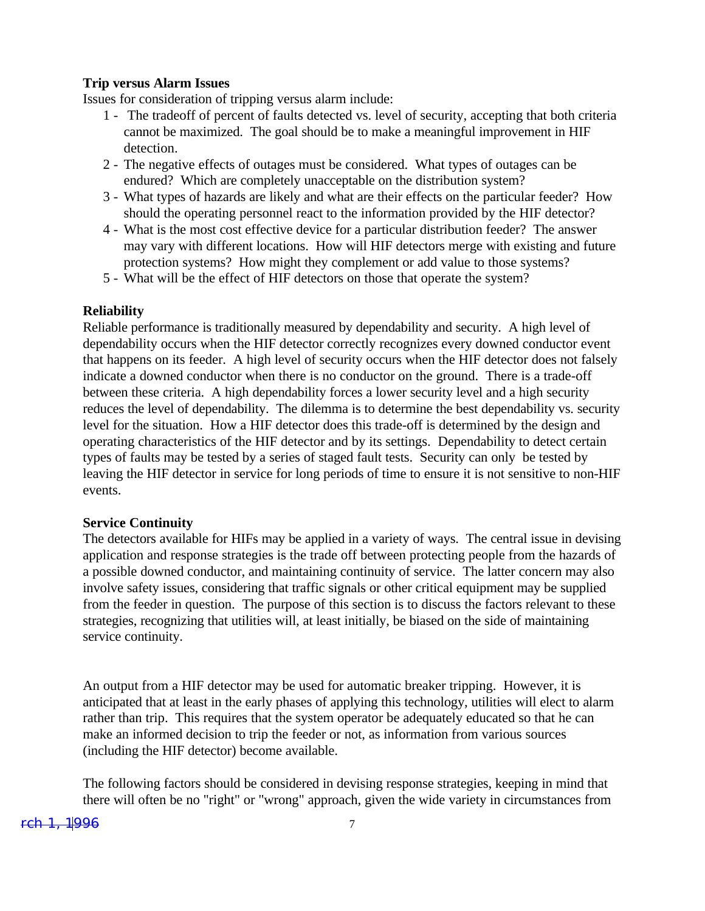#### **Trip versus Alarm Issues**

Issues for consideration of tripping versus alarm include:

- 1 The tradeoff of percent of faults detected vs. level of security, accepting that both criteria cannot be maximized. The goal should be to make a meaningful improvement in HIF detection.
- 2 The negative effects of outages must be considered. What types of outages can be endured? Which are completely unacceptable on the distribution system?
- 3 What types of hazards are likely and what are their effects on the particular feeder? How should the operating personnel react to the information provided by the HIF detector?
- 4 What is the most cost effective device for a particular distribution feeder? The answer may vary with different locations. How will HIF detectors merge with existing and future protection systems? How might they complement or add value to those systems?
- 5 What will be the effect of HIF detectors on those that operate the system?

#### **Reliability**

Reliable performance is traditionally measured by dependability and security. A high level of dependability occurs when the HIF detector correctly recognizes every downed conductor event that happens on its feeder. A high level of security occurs when the HIF detector does not falsely indicate a downed conductor when there is no conductor on the ground. There is a trade-off between these criteria. A high dependability forces a lower security level and a high security reduces the level of dependability. The dilemma is to determine the best dependability vs. security level for the situation. How a HIF detector does this trade-off is determined by the design and operating characteristics of the HIF detector and by its settings. Dependability to detect certain types of faults may be tested by a series of staged fault tests. Security can only be tested by leaving the HIF detector in service for long periods of time to ensure it is not sensitive to non-HIF events.

#### **Service Continuity**

The detectors available for HIFs may be applied in a variety of ways. The central issue in devising application and response strategies is the trade off between protecting people from the hazards of a possible downed conductor, and maintaining continuity of service. The latter concern may also involve safety issues, considering that traffic signals or other critical equipment may be supplied from the feeder in question. The purpose of this section is to discuss the factors relevant to these strategies, recognizing that utilities will, at least initially, be biased on the side of maintaining service continuity.

An output from a HIF detector may be used for automatic breaker tripping. However, it is anticipated that at least in the early phases of applying this technology, utilities will elect to alarm rather than trip. This requires that the system operator be adequately educated so that he can make an informed decision to trip the feeder or not, as information from various sources (including the HIF detector) become available.

The following factors should be considered in devising response strategies, keeping in mind that there will often be no "right" or "wrong" approach, given the wide variety in circumstances from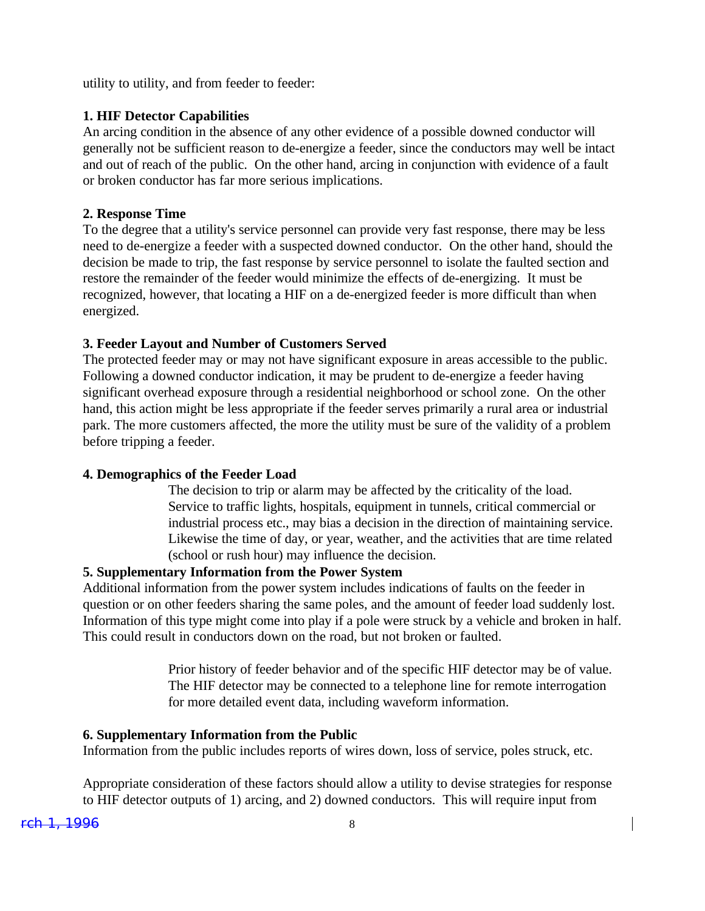utility to utility, and from feeder to feeder:

## **1. HIF Detector Capabilities**

An arcing condition in the absence of any other evidence of a possible downed conductor will generally not be sufficient reason to de-energize a feeder, since the conductors may well be intact and out of reach of the public. On the other hand, arcing in conjunction with evidence of a fault or broken conductor has far more serious implications.

#### **2. Response Time**

To the degree that a utility's service personnel can provide very fast response, there may be less need to de-energize a feeder with a suspected downed conductor. On the other hand, should the decision be made to trip, the fast response by service personnel to isolate the faulted section and restore the remainder of the feeder would minimize the effects of de-energizing. It must be recognized, however, that locating a HIF on a de-energized feeder is more difficult than when energized.

#### **3. Feeder Layout and Number of Customers Served**

The protected feeder may or may not have significant exposure in areas accessible to the public. Following a downed conductor indication, it may be prudent to de-energize a feeder having significant overhead exposure through a residential neighborhood or school zone. On the other hand, this action might be less appropriate if the feeder serves primarily a rural area or industrial park. The more customers affected, the more the utility must be sure of the validity of a problem before tripping a feeder.

#### **4. Demographics of the Feeder Load**

The decision to trip or alarm may be affected by the criticality of the load. Service to traffic lights, hospitals, equipment in tunnels, critical commercial or industrial process etc., may bias a decision in the direction of maintaining service. Likewise the time of day, or year, weather, and the activities that are time related (school or rush hour) may influence the decision.

### **5. Supplementary Information from the Power System**

Additional information from the power system includes indications of faults on the feeder in question or on other feeders sharing the same poles, and the amount of feeder load suddenly lost. Information of this type might come into play if a pole were struck by a vehicle and broken in half. This could result in conductors down on the road, but not broken or faulted.

> Prior history of feeder behavior and of the specific HIF detector may be of value. The HIF detector may be connected to a telephone line for remote interrogation for more detailed event data, including waveform information.

#### **6. Supplementary Information from the Public**

Information from the public includes reports of wires down, loss of service, poles struck, etc.

Appropriate consideration of these factors should allow a utility to devise strategies for response to HIF detector outputs of 1) arcing, and 2) downed conductors. This will require input from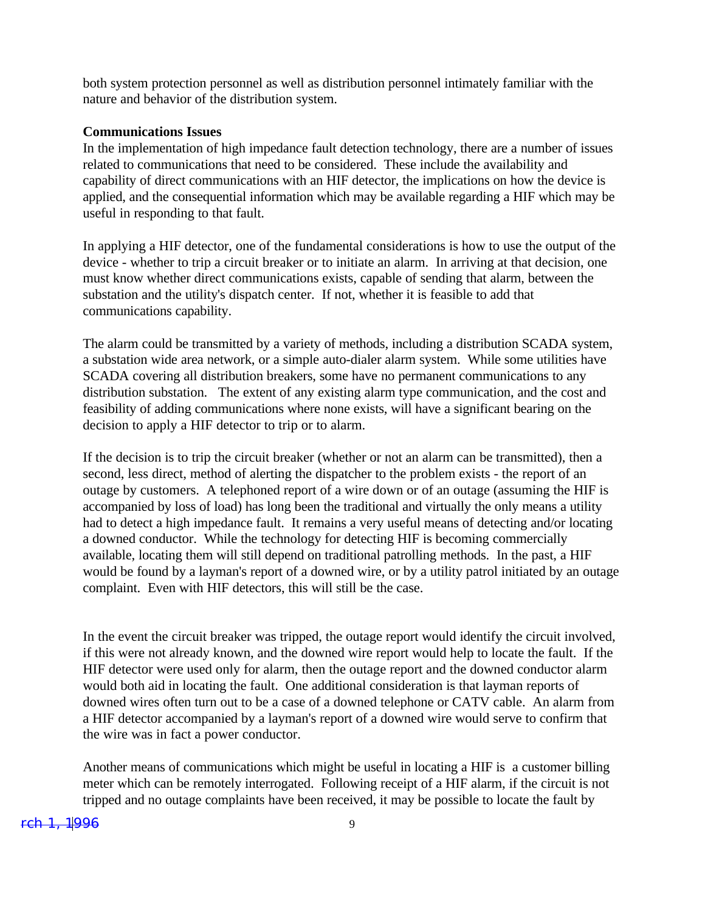both system protection personnel as well as distribution personnel intimately familiar with the nature and behavior of the distribution system.

#### **Communications Issues**

In the implementation of high impedance fault detection technology, there are a number of issues related to communications that need to be considered. These include the availability and capability of direct communications with an HIF detector, the implications on how the device is applied, and the consequential information which may be available regarding a HIF which may be useful in responding to that fault.

In applying a HIF detector, one of the fundamental considerations is how to use the output of the device - whether to trip a circuit breaker or to initiate an alarm. In arriving at that decision, one must know whether direct communications exists, capable of sending that alarm, between the substation and the utility's dispatch center. If not, whether it is feasible to add that communications capability.

The alarm could be transmitted by a variety of methods, including a distribution SCADA system, a substation wide area network, or a simple auto-dialer alarm system. While some utilities have SCADA covering all distribution breakers, some have no permanent communications to any distribution substation. The extent of any existing alarm type communication, and the cost and feasibility of adding communications where none exists, will have a significant bearing on the decision to apply a HIF detector to trip or to alarm.

If the decision is to trip the circuit breaker (whether or not an alarm can be transmitted), then a second, less direct, method of alerting the dispatcher to the problem exists - the report of an outage by customers. A telephoned report of a wire down or of an outage (assuming the HIF is accompanied by loss of load) has long been the traditional and virtually the only means a utility had to detect a high impedance fault. It remains a very useful means of detecting and/or locating a downed conductor. While the technology for detecting HIF is becoming commercially available, locating them will still depend on traditional patrolling methods. In the past, a HIF would be found by a layman's report of a downed wire, or by a utility patrol initiated by an outage complaint. Even with HIF detectors, this will still be the case.

In the event the circuit breaker was tripped, the outage report would identify the circuit involved, if this were not already known, and the downed wire report would help to locate the fault. If the HIF detector were used only for alarm, then the outage report and the downed conductor alarm would both aid in locating the fault. One additional consideration is that layman reports of downed wires often turn out to be a case of a downed telephone or CATV cable. An alarm from a HIF detector accompanied by a layman's report of a downed wire would serve to confirm that the wire was in fact a power conductor.

Another means of communications which might be useful in locating a HIF is a customer billing meter which can be remotely interrogated. Following receipt of a HIF alarm, if the circuit is not tripped and no outage complaints have been received, it may be possible to locate the fault by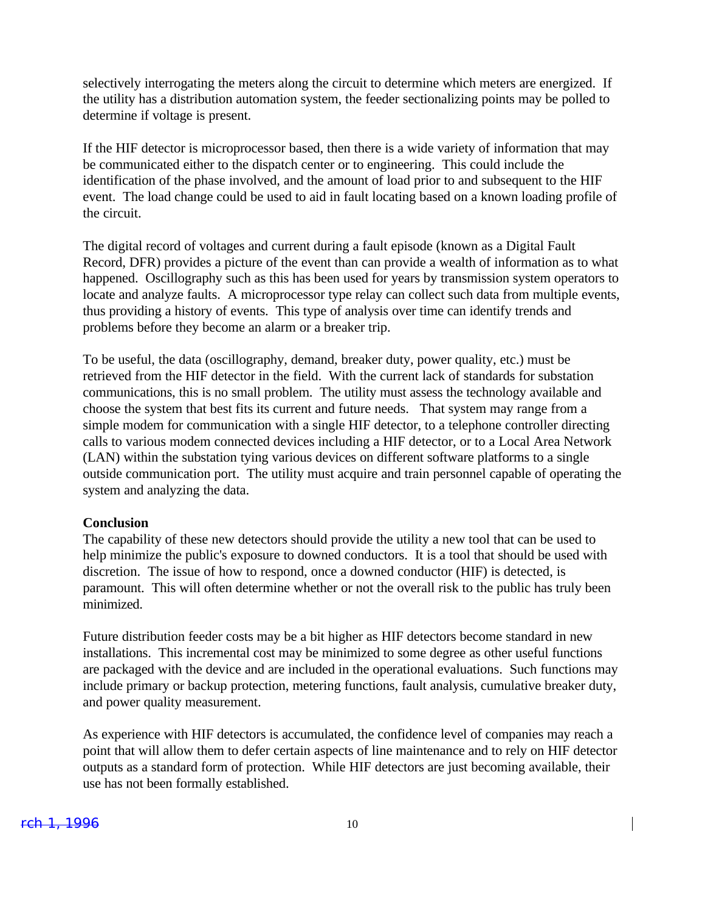selectively interrogating the meters along the circuit to determine which meters are energized. If the utility has a distribution automation system, the feeder sectionalizing points may be polled to determine if voltage is present.

If the HIF detector is microprocessor based, then there is a wide variety of information that may be communicated either to the dispatch center or to engineering. This could include the identification of the phase involved, and the amount of load prior to and subsequent to the HIF event. The load change could be used to aid in fault locating based on a known loading profile of the circuit.

The digital record of voltages and current during a fault episode (known as a Digital Fault Record, DFR) provides a picture of the event than can provide a wealth of information as to what happened. Oscillography such as this has been used for years by transmission system operators to locate and analyze faults. A microprocessor type relay can collect such data from multiple events, thus providing a history of events. This type of analysis over time can identify trends and problems before they become an alarm or a breaker trip.

To be useful, the data (oscillography, demand, breaker duty, power quality, etc.) must be retrieved from the HIF detector in the field. With the current lack of standards for substation communications, this is no small problem. The utility must assess the technology available and choose the system that best fits its current and future needs. That system may range from a simple modem for communication with a single HIF detector, to a telephone controller directing calls to various modem connected devices including a HIF detector, or to a Local Area Network (LAN) within the substation tying various devices on different software platforms to a single outside communication port. The utility must acquire and train personnel capable of operating the system and analyzing the data.

#### **Conclusion**

The capability of these new detectors should provide the utility a new tool that can be used to help minimize the public's exposure to downed conductors. It is a tool that should be used with discretion. The issue of how to respond, once a downed conductor (HIF) is detected, is paramount. This will often determine whether or not the overall risk to the public has truly been minimized.

Future distribution feeder costs may be a bit higher as HIF detectors become standard in new installations. This incremental cost may be minimized to some degree as other useful functions are packaged with the device and are included in the operational evaluations. Such functions may include primary or backup protection, metering functions, fault analysis, cumulative breaker duty, and power quality measurement.

As experience with HIF detectors is accumulated, the confidence level of companies may reach a point that will allow them to defer certain aspects of line maintenance and to rely on HIF detector outputs as a standard form of protection. While HIF detectors are just becoming available, their use has not been formally established.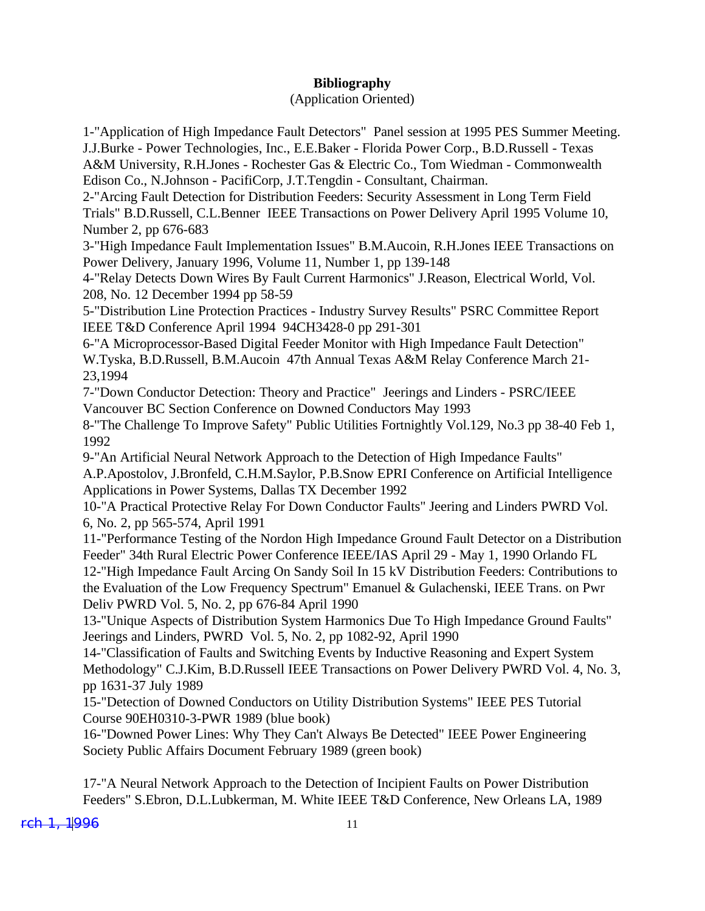# **Bibliography**

# (Application Oriented)

1-"Application of High Impedance Fault Detectors" Panel session at 1995 PES Summer Meeting. J.J.Burke - Power Technologies, Inc., E.E.Baker - Florida Power Corp., B.D.Russell - Texas A&M University, R.H.Jones - Rochester Gas & Electric Co., Tom Wiedman - Commonwealth Edison Co., N.Johnson - PacifiCorp, J.T.Tengdin - Consultant, Chairman.

2-"Arcing Fault Detection for Distribution Feeders: Security Assessment in Long Term Field Trials" B.D.Russell, C.L.Benner IEEE Transactions on Power Delivery April 1995 Volume 10, Number 2, pp 676-683

3-"High Impedance Fault Implementation Issues" B.M.Aucoin, R.H.Jones IEEE Transactions on Power Delivery, January 1996, Volume 11, Number 1, pp 139-148

4-"Relay Detects Down Wires By Fault Current Harmonics" J.Reason, Electrical World, Vol. 208, No. 12 December 1994 pp 58-59

5-"Distribution Line Protection Practices - Industry Survey Results" PSRC Committee Report IEEE T&D Conference April 1994 94CH3428-0 pp 291-301

6-"A Microprocessor-Based Digital Feeder Monitor with High Impedance Fault Detection" W.Tyska, B.D.Russell, B.M.Aucoin 47th Annual Texas A&M Relay Conference March 21- 23,1994

7-"Down Conductor Detection: Theory and Practice" Jeerings and Linders - PSRC/IEEE Vancouver BC Section Conference on Downed Conductors May 1993

8-"The Challenge To Improve Safety" Public Utilities Fortnightly Vol.129, No.3 pp 38-40 Feb 1, 1992

9-"An Artificial Neural Network Approach to the Detection of High Impedance Faults" A.P.Apostolov, J.Bronfeld, C.H.M.Saylor, P.B.Snow EPRI Conference on Artificial Intelligence Applications in Power Systems, Dallas TX December 1992

10-"A Practical Protective Relay For Down Conductor Faults" Jeering and Linders PWRD Vol. 6, No. 2, pp 565-574, April 1991

11-"Performance Testing of the Nordon High Impedance Ground Fault Detector on a Distribution Feeder" 34th Rural Electric Power Conference IEEE/IAS April 29 - May 1, 1990 Orlando FL 12-"High Impedance Fault Arcing On Sandy Soil In 15 kV Distribution Feeders: Contributions to the Evaluation of the Low Frequency Spectrum" Emanuel & Gulachenski, IEEE Trans. on Pwr Deliv PWRD Vol. 5, No. 2, pp 676-84 April 1990

13-"Unique Aspects of Distribution System Harmonics Due To High Impedance Ground Faults" Jeerings and Linders, PWRD Vol. 5, No. 2, pp 1082-92, April 1990

14-"Classification of Faults and Switching Events by Inductive Reasoning and Expert System Methodology" C.J.Kim, B.D.Russell IEEE Transactions on Power Delivery PWRD Vol. 4, No. 3, pp 1631-37 July 1989

15-"Detection of Downed Conductors on Utility Distribution Systems" IEEE PES Tutorial Course 90EH0310-3-PWR 1989 (blue book)

16-"Downed Power Lines: Why They Can't Always Be Detected" IEEE Power Engineering Society Public Affairs Document February 1989 (green book)

17-"A Neural Network Approach to the Detection of Incipient Faults on Power Distribution Feeders" S.Ebron, D.L.Lubkerman, M. White IEEE T&D Conference, New Orleans LA, 1989